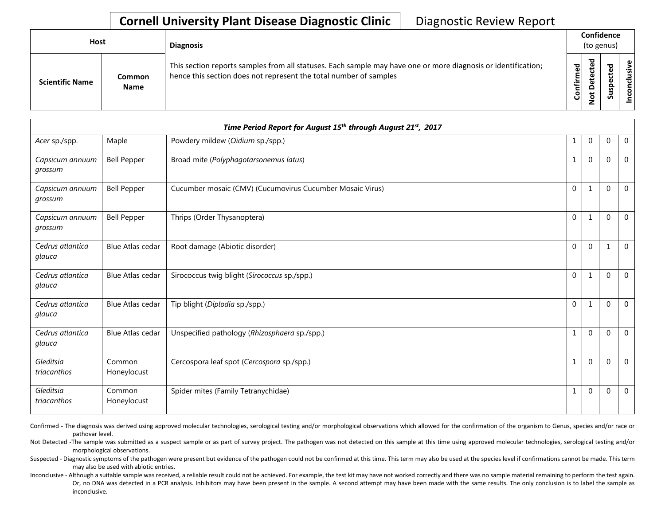## **Cornell University Plant Disease Diagnostic Clinic** | Diagnostic Review Report

| Host                   |                       | <b>Diagnosis</b>                                                                                                                                                                   |           | Confidence<br>(to genus) |   |                       |  |  |
|------------------------|-----------------------|------------------------------------------------------------------------------------------------------------------------------------------------------------------------------------|-----------|--------------------------|---|-----------------------|--|--|
| <b>Scientific Name</b> | Common<br><b>Name</b> | This section reports samples from all statuses. Each sample may have one or more diagnosis or identification;<br>hence this section does not represent the total number of samples | Confirmed | ᇃ<br>≏                   | s | usive<br>ಕ<br>Ξ.<br>g |  |  |

|                            |                         | Time Period Report for August 15th through August 21st, 2017 |              |                |              |                |
|----------------------------|-------------------------|--------------------------------------------------------------|--------------|----------------|--------------|----------------|
| Acer sp./spp.              | Maple                   | Powdery mildew (Oidium sp./spp.)                             | 1            | $\mathbf 0$    | $\mathbf{0}$ | $\mathbf 0$    |
| Capsicum annuum<br>grossum | <b>Bell Pepper</b>      | Broad mite (Polyphagotarsonemus latus)                       | $\mathbf{1}$ | $\mathbf{0}$   | $\Omega$     | $\Omega$       |
| Capsicum annuum<br>grossum | <b>Bell Pepper</b>      | Cucumber mosaic (CMV) (Cucumovirus Cucumber Mosaic Virus)    | $\mathbf{0}$ | 1              | $\Omega$     | $\overline{0}$ |
| Capsicum annuum<br>grossum | <b>Bell Pepper</b>      | Thrips (Order Thysanoptera)                                  | $\Omega$     | 1              | $\Omega$     | $\Omega$       |
| Cedrus atlantica<br>glauca | <b>Blue Atlas cedar</b> | Root damage (Abiotic disorder)                               | $\mathbf 0$  | $\mathbf 0$    | $\mathbf{1}$ | $\mathbf 0$    |
| Cedrus atlantica<br>glauca | <b>Blue Atlas cedar</b> | Sirococcus twig blight (Sirococcus sp./spp.)                 | $\mathbf 0$  | 1              | $\Omega$     | $\overline{0}$ |
| Cedrus atlantica<br>glauca | <b>Blue Atlas cedar</b> | Tip blight (Diplodia sp./spp.)                               | $\mathbf{0}$ | 1              | $\Omega$     | $\Omega$       |
| Cedrus atlantica<br>glauca | <b>Blue Atlas cedar</b> | Unspecified pathology (Rhizosphaera sp./spp.)                | 1            | $\Omega$       | $\Omega$     | $\Omega$       |
| Gleditsia<br>triacanthos   | Common<br>Honeylocust   | Cercospora leaf spot (Cercospora sp./spp.)                   | $\mathbf{1}$ | $\mathbf{0}$   | $\mathbf{0}$ | $\overline{0}$ |
| Gleditsia<br>triacanthos   | Common<br>Honeylocust   | Spider mites (Family Tetranychidae)                          |              | $\overline{0}$ | 0            | 0              |

Confirmed - The diagnosis was derived using approved molecular technologies, serological testing and/or morphological observations which allowed for the confirmation of the organism to Genus, species and/or race or pathovar level.

Not Detected -The sample was submitted as a suspect sample or as part of survey project. The pathogen was not detected on this sample at this time using approved molecular technologies, serological testing and/or morphological observations.

Suspected - Diagnostic symptoms of the pathogen were present but evidence of the pathogen could not be confirmed at this time. This term may also be used at the species level if confirmations cannot be made. This term may also be used with abiotic entries.

Inconclusive - Although a suitable sample was received, a reliable result could not be achieved. For example, the test kit may have not worked correctly and there was no sample material remaining to perform the test again. Or, no DNA was detected in a PCR analysis. Inhibitors may have been present in the sample. A second attempt may have been made with the same results. The only conclusion is to label the sample as inconclusive.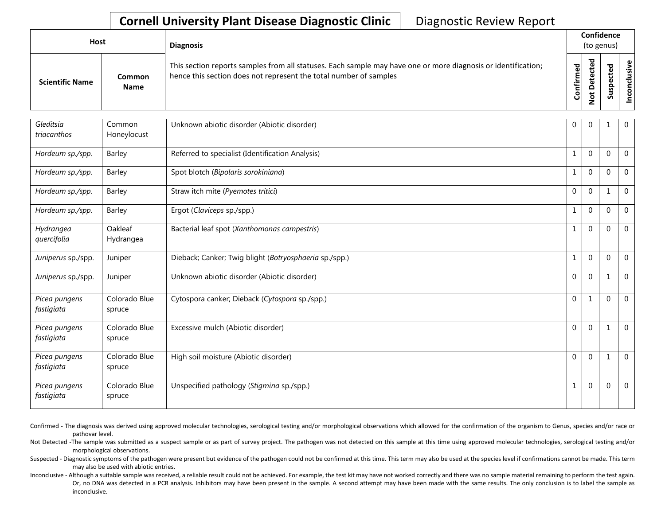## **Cornell University Plant Disease Diagnostic Clinic** | Diagnostic Review Report

| Host                   |                | <b>Diagnosis</b>                                                                                                                                                                   |           |        | Confidence<br>(to genus) |                  |
|------------------------|----------------|------------------------------------------------------------------------------------------------------------------------------------------------------------------------------------|-----------|--------|--------------------------|------------------|
| <b>Scientific Name</b> | Common<br>Name | This section reports samples from all statuses. Each sample may have one or more diagnosis or identification;<br>hence this section does not represent the total number of samples | Confirmed | ಾ<br>≏ | s<br>っ<br>n              | usive<br>᠊ᠣ<br>g |

| Gleditsia<br>triacanthos    | Common<br>Honeylocust   | Unknown abiotic disorder (Abiotic disorder)            | $\mathbf 0$  | $\overline{0}$ |          | $\mathbf 0$    |
|-----------------------------|-------------------------|--------------------------------------------------------|--------------|----------------|----------|----------------|
| Hordeum sp./spp.            | Barley                  | Referred to specialist (Identification Analysis)       | 1            | $\mathbf 0$    | $\Omega$ | $\overline{0}$ |
| Hordeum sp./spp.            | Barley                  | Spot blotch (Bipolaris sorokiniana)                    | $\mathbf{1}$ | $\mathbf 0$    | $\Omega$ | $\overline{0}$ |
| Hordeum sp./spp.            | Barley                  | Straw itch mite (Pyemotes tritici)                     | $\mathbf 0$  | $\mathbf{0}$   |          | $\mathbf 0$    |
| Hordeum sp./spp.            | Barley                  | Ergot (Claviceps sp./spp.)                             | $\mathbf{1}$ | $\mathbf 0$    | $\Omega$ | $\mathbf 0$    |
| Hydrangea<br>quercifolia    | Oakleaf<br>Hydrangea    | Bacterial leaf spot (Xanthomonas campestris)           | 1            | $\mathbf 0$    | $\Omega$ | $\mathbf 0$    |
| Juniperus sp./spp.          | Juniper                 | Dieback; Canker; Twig blight (Botryosphaeria sp./spp.) | $\mathbf{1}$ | $\mathbf 0$    | $\Omega$ | $\overline{0}$ |
| Juniperus sp./spp.          | Juniper                 | Unknown abiotic disorder (Abiotic disorder)            | $\mathbf 0$  | $\mathbf 0$    | 1        | $\overline{0}$ |
| Picea pungens<br>fastigiata | Colorado Blue<br>spruce | Cytospora canker; Dieback (Cytospora sp./spp.)         | $\mathbf{0}$ | 1              | $\Omega$ | $\mathbf 0$    |
| Picea pungens<br>fastigiata | Colorado Blue<br>spruce | Excessive mulch (Abiotic disorder)                     | $\Omega$     | $\mathbf{0}$   | 1        | $\mathbf 0$    |
| Picea pungens<br>fastigiata | Colorado Blue<br>spruce | High soil moisture (Abiotic disorder)                  | $\mathbf{0}$ | $\mathbf{0}$   |          | $\overline{0}$ |
| Picea pungens<br>fastigiata | Colorado Blue<br>spruce | Unspecified pathology (Stigmina sp./spp.)              | 1            | $\mathbf{0}$   | $\Omega$ | $\mathbf 0$    |

Confirmed - The diagnosis was derived using approved molecular technologies, serological testing and/or morphological observations which allowed for the confirmation of the organism to Genus, species and/or race or pathovar level.

Not Detected -The sample was submitted as a suspect sample or as part of survey project. The pathogen was not detected on this sample at this time using approved molecular technologies, serological testing and/or morphological observations.

Suspected - Diagnostic symptoms of the pathogen were present but evidence of the pathogen could not be confirmed at this time. This term may also be used at the species level if confirmations cannot be made. This term may also be used with abiotic entries.

Inconclusive - Although a suitable sample was received, a reliable result could not be achieved. For example, the test kit may have not worked correctly and there was no sample material remaining to perform the test again. Or, no DNA was detected in a PCR analysis. Inhibitors may have been present in the sample. A second attempt may have been made with the same results. The only conclusion is to label the sample as inconclusive.